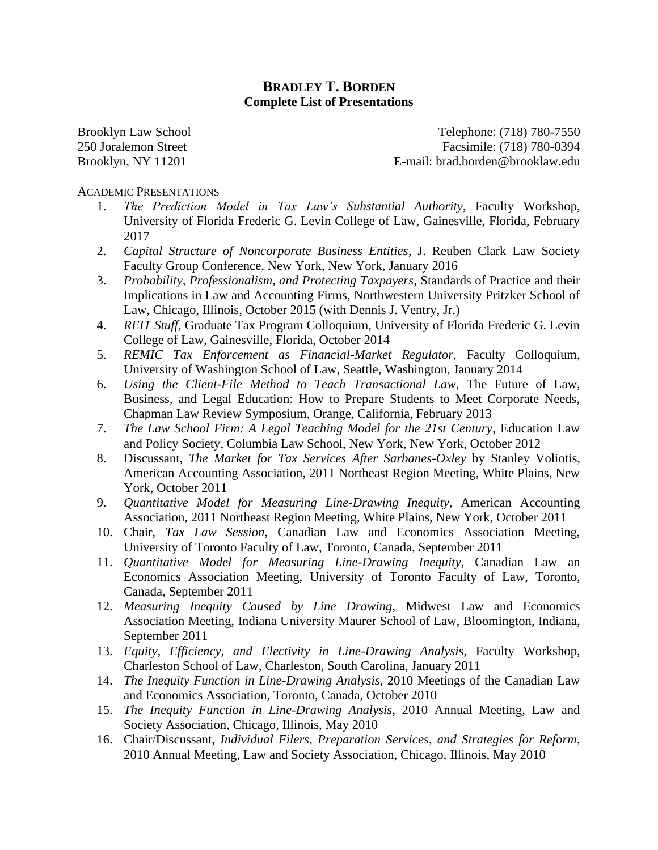| Brooklyn Law School  | Telephone: (718) 780-7550        |
|----------------------|----------------------------------|
| 250 Joralemon Street | Facsimile: (718) 780-0394        |
| Brooklyn, NY 11201   | E-mail: brad.borden@brooklaw.edu |

#### ACADEMIC PRESENTATIONS

- 1. *The Prediction Model in Tax Law's Substantial Authority*, Faculty Workshop, University of Florida Frederic G. Levin College of Law, Gainesville, Florida, February 2017
- 2. *Capital Structure of Noncorporate Business Entities*, J. Reuben Clark Law Society Faculty Group Conference, New York, New York, January 2016
- 3. *Probability, Professionalism, and Protecting Taxpayers*, Standards of Practice and their Implications in Law and Accounting Firms, Northwestern University Pritzker School of Law, Chicago, Illinois, October 2015 (with Dennis J. Ventry, Jr.)
- 4. *REIT Stuff*, Graduate Tax Program Colloquium, University of Florida Frederic G. Levin College of Law, Gainesville, Florida, October 2014
- 5. *REMIC Tax Enforcement as Financial-Market Regulator*, Faculty Colloquium, University of Washington School of Law, Seattle, Washington, January 2014
- 6. *Using the Client-File Method to Teach Transactional Law*, The Future of Law, Business, and Legal Education: How to Prepare Students to Meet Corporate Needs, Chapman Law Review Symposium, Orange, California, February 2013
- 7. *The Law School Firm: A Legal Teaching Model for the 21st Century*, Education Law and Policy Society, Columbia Law School, New York, New York, October 2012
- 8. Discussant, *The Market for Tax Services After Sarbanes-Oxley* by Stanley Voliotis, American Accounting Association, 2011 Northeast Region Meeting, White Plains, New York, October 2011
- 9. *Quantitative Model for Measuring Line-Drawing Inequity*, American Accounting Association, 2011 Northeast Region Meeting, White Plains, New York, October 2011
- 10. Chair, *Tax Law Session*, Canadian Law and Economics Association Meeting, University of Toronto Faculty of Law, Toronto, Canada, September 2011
- 11. *Quantitative Model for Measuring Line-Drawing Inequity*, Canadian Law an Economics Association Meeting, University of Toronto Faculty of Law, Toronto, Canada, September 2011
- 12. *Measuring Inequity Caused by Line Drawing*, Midwest Law and Economics Association Meeting, Indiana University Maurer School of Law, Bloomington, Indiana, September 2011
- 13. *Equity, Efficiency, and Electivity in Line-Drawing Analysis*, Faculty Workshop, Charleston School of Law, Charleston, South Carolina, January 2011
- 14. *The Inequity Function in Line-Drawing Analysis*, 2010 Meetings of the Canadian Law and Economics Association, Toronto, Canada, October 2010
- 15. *The Inequity Function in Line-Drawing Analysis*, 2010 Annual Meeting, Law and Society Association, Chicago, Illinois, May 2010
- 16. Chair/Discussant, *Individual Filers, Preparation Services, and Strategies for Reform*, 2010 Annual Meeting, Law and Society Association, Chicago, Illinois, May 2010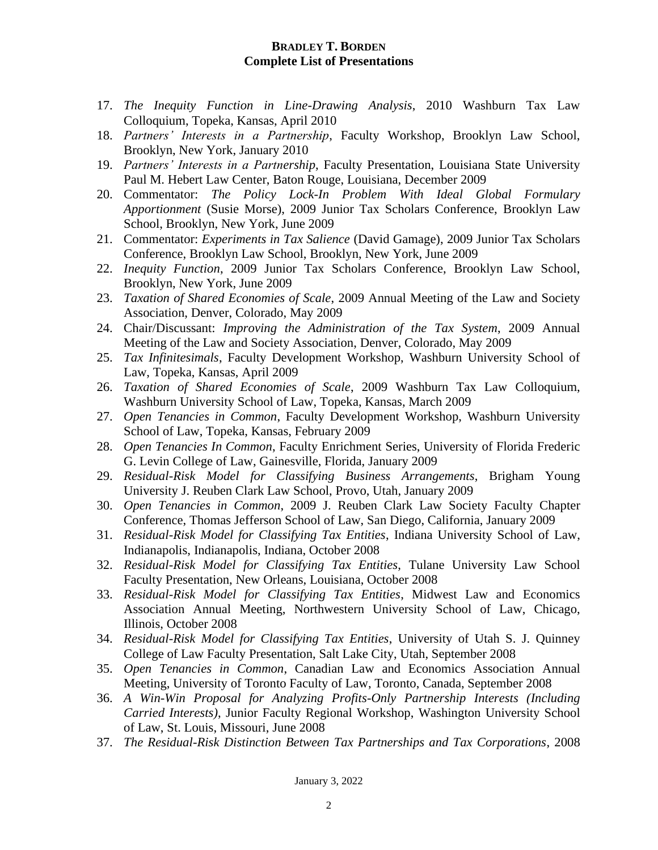- 17. *The Inequity Function in Line-Drawing Analysis*, 2010 Washburn Tax Law Colloquium, Topeka, Kansas, April 2010
- 18. *Partners' Interests in a Partnership*, Faculty Workshop, Brooklyn Law School, Brooklyn, New York, January 2010
- 19. *Partners' Interests in a Partnership*, Faculty Presentation, Louisiana State University Paul M. Hebert Law Center, Baton Rouge, Louisiana, December 2009
- 20. Commentator: *The Policy Lock-In Problem With Ideal Global Formulary Apportionment* (Susie Morse), 2009 Junior Tax Scholars Conference, Brooklyn Law School, Brooklyn, New York, June 2009
- 21. Commentator: *Experiments in Tax Salience* (David Gamage), 2009 Junior Tax Scholars Conference, Brooklyn Law School, Brooklyn, New York, June 2009
- 22. *Inequity Function*, 2009 Junior Tax Scholars Conference, Brooklyn Law School, Brooklyn, New York, June 2009
- 23. *Taxation of Shared Economies of Scale*, 2009 Annual Meeting of the Law and Society Association, Denver, Colorado, May 2009
- 24. Chair/Discussant: *Improving the Administration of the Tax System*, 2009 Annual Meeting of the Law and Society Association, Denver, Colorado, May 2009
- 25. *Tax Infinitesimals*, Faculty Development Workshop, Washburn University School of Law, Topeka, Kansas, April 2009
- 26. *Taxation of Shared Economies of Scale*, 2009 Washburn Tax Law Colloquium, Washburn University School of Law, Topeka, Kansas, March 2009
- 27. *Open Tenancies in Common*, Faculty Development Workshop, Washburn University School of Law, Topeka, Kansas, February 2009
- 28. *Open Tenancies In Common*, Faculty Enrichment Series, University of Florida Frederic G. Levin College of Law, Gainesville, Florida, January 2009
- 29. *Residual-Risk Model for Classifying Business Arrangements*, Brigham Young University J. Reuben Clark Law School, Provo, Utah, January 2009
- 30. *Open Tenancies in Common*, 2009 J. Reuben Clark Law Society Faculty Chapter Conference, Thomas Jefferson School of Law, San Diego, California, January 2009
- 31. *Residual-Risk Model for Classifying Tax Entities*, Indiana University School of Law, Indianapolis, Indianapolis, Indiana, October 2008
- 32. *Residual-Risk Model for Classifying Tax Entities*, Tulane University Law School Faculty Presentation, New Orleans, Louisiana, October 2008
- 33. *Residual-Risk Model for Classifying Tax Entities*, Midwest Law and Economics Association Annual Meeting, Northwestern University School of Law, Chicago, Illinois, October 2008
- 34. *Residual-Risk Model for Classifying Tax Entities*, University of Utah S. J. Quinney College of Law Faculty Presentation, Salt Lake City, Utah, September 2008
- 35. *Open Tenancies in Common*, Canadian Law and Economics Association Annual Meeting, University of Toronto Faculty of Law, Toronto, Canada, September 2008
- 36. *A Win-Win Proposal for Analyzing Profits-Only Partnership Interests (Including Carried Interests)*, Junior Faculty Regional Workshop, Washington University School of Law, St. Louis, Missouri, June 2008
- 37. *The Residual-Risk Distinction Between Tax Partnerships and Tax Corporations*, 2008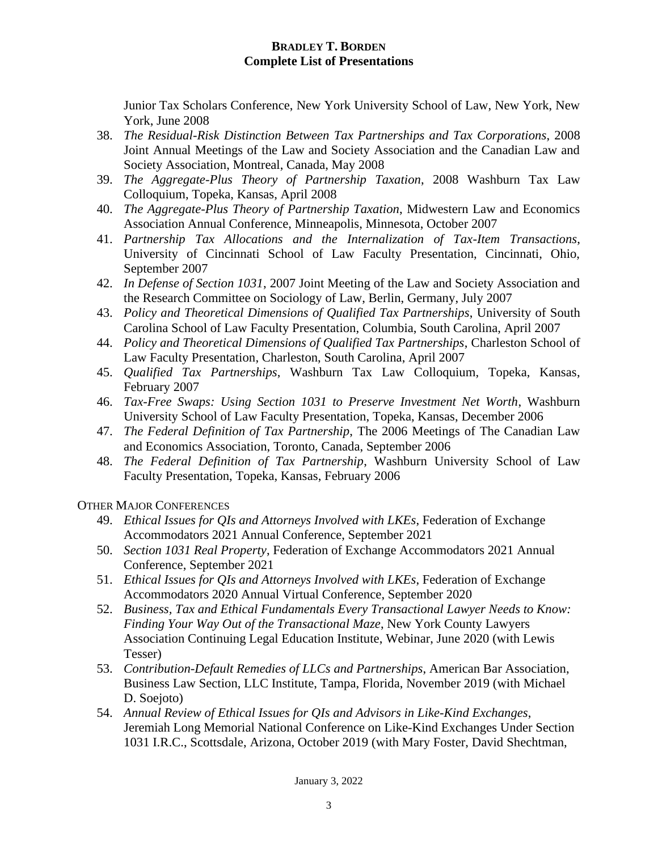Junior Tax Scholars Conference, New York University School of Law, New York, New York, June 2008

- 38. *The Residual-Risk Distinction Between Tax Partnerships and Tax Corporations*, 2008 Joint Annual Meetings of the Law and Society Association and the Canadian Law and Society Association, Montreal, Canada, May 2008
- 39. *The Aggregate-Plus Theory of Partnership Taxation*, 2008 Washburn Tax Law Colloquium, Topeka, Kansas, April 2008
- 40. *The Aggregate-Plus Theory of Partnership Taxation*, Midwestern Law and Economics Association Annual Conference, Minneapolis, Minnesota, October 2007
- 41. *Partnership Tax Allocations and the Internalization of Tax-Item Transactions*, University of Cincinnati School of Law Faculty Presentation, Cincinnati, Ohio, September 2007
- 42. *In Defense of Section 1031*, 2007 Joint Meeting of the Law and Society Association and the Research Committee on Sociology of Law, Berlin, Germany, July 2007
- 43. *Policy and Theoretical Dimensions of Qualified Tax Partnerships*, University of South Carolina School of Law Faculty Presentation, Columbia, South Carolina, April 2007
- 44. *Policy and Theoretical Dimensions of Qualified Tax Partnerships*, Charleston School of Law Faculty Presentation, Charleston, South Carolina, April 2007
- 45. *Qualified Tax Partnerships*, Washburn Tax Law Colloquium, Topeka, Kansas, February 2007
- 46. *Tax-Free Swaps: Using Section 1031 to Preserve Investment Net Worth*, Washburn University School of Law Faculty Presentation, Topeka, Kansas, December 2006
- 47. *The Federal Definition of Tax Partnership*, The 2006 Meetings of The Canadian Law and Economics Association, Toronto, Canada, September 2006
- 48. *The Federal Definition of Tax Partnership*, Washburn University School of Law Faculty Presentation, Topeka, Kansas, February 2006

OTHER MAJOR CONFERENCES

- 49. *Ethical Issues for QIs and Attorneys Involved with LKEs*, Federation of Exchange Accommodators 2021 Annual Conference, September 2021
- 50. *Section 1031 Real Property*, Federation of Exchange Accommodators 2021 Annual Conference, September 2021
- 51. *Ethical Issues for QIs and Attorneys Involved with LKEs*, Federation of Exchange Accommodators 2020 Annual Virtual Conference, September 2020
- 52. *Business, Tax and Ethical Fundamentals Every Transactional Lawyer Needs to Know: Finding Your Way Out of the Transactional Maze*, New York County Lawyers Association Continuing Legal Education Institute, Webinar, June 2020 (with Lewis Tesser)
- 53. *Contribution-Default Remedies of LLCs and Partnerships*, American Bar Association, Business Law Section, LLC Institute, Tampa, Florida, November 2019 (with Michael D. Soejoto)
- 54. *Annual Review of Ethical Issues for QIs and Advisors in Like-Kind Exchanges*, Jeremiah Long Memorial National Conference on Like-Kind Exchanges Under Section 1031 I.R.C., Scottsdale, Arizona, October 2019 (with Mary Foster, David Shechtman,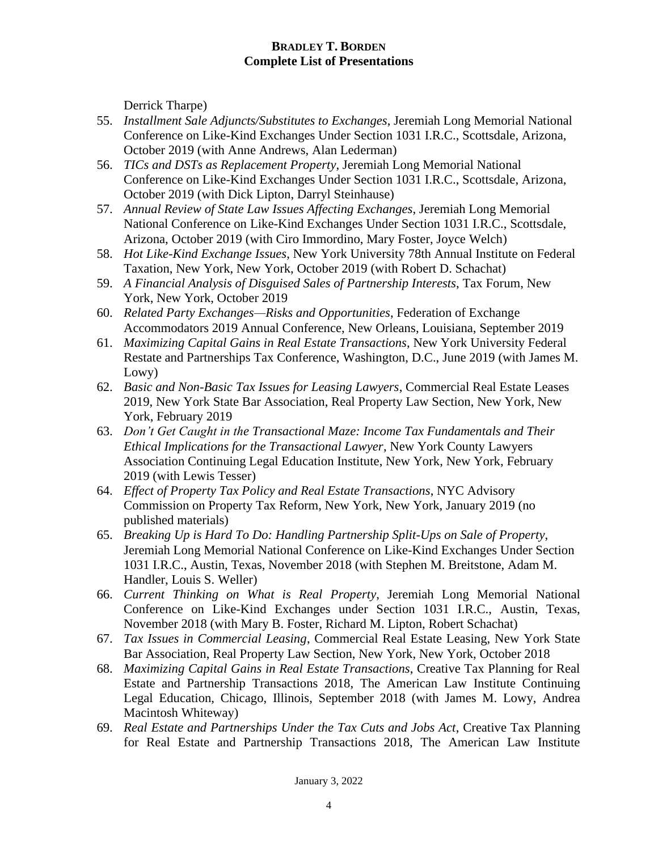Derrick Tharpe)

- 55. *Installment Sale Adjuncts/Substitutes to Exchanges*, Jeremiah Long Memorial National Conference on Like-Kind Exchanges Under Section 1031 I.R.C., Scottsdale, Arizona, October 2019 (with Anne Andrews, Alan Lederman)
- 56. *TICs and DSTs as Replacement Property*, Jeremiah Long Memorial National Conference on Like-Kind Exchanges Under Section 1031 I.R.C., Scottsdale, Arizona, October 2019 (with Dick Lipton, Darryl Steinhause)
- 57. *Annual Review of State Law Issues Affecting Exchanges*, Jeremiah Long Memorial National Conference on Like-Kind Exchanges Under Section 1031 I.R.C., Scottsdale, Arizona, October 2019 (with Ciro Immordino, Mary Foster, Joyce Welch)
- 58. *Hot Like-Kind Exchange Issues*, New York University 78th Annual Institute on Federal Taxation, New York, New York, October 2019 (with Robert D. Schachat)
- 59. *A Financial Analysis of Disguised Sales of Partnership Interests*, Tax Forum, New York, New York, October 2019
- 60. *Related Party Exchanges—Risks and Opportunities*, Federation of Exchange Accommodators 2019 Annual Conference, New Orleans, Louisiana, September 2019
- 61. *Maximizing Capital Gains in Real Estate Transactions*, New York University Federal Restate and Partnerships Tax Conference, Washington, D.C., June 2019 (with James M. Lowy)
- 62. *Basic and Non-Basic Tax Issues for Leasing Lawyers*, Commercial Real Estate Leases 2019, New York State Bar Association, Real Property Law Section, New York, New York, February 2019
- 63. *Don't Get Caught in the Transactional Maze: Income Tax Fundamentals and Their Ethical Implications for the Transactional Lawyer*, New York County Lawyers Association Continuing Legal Education Institute, New York, New York, February 2019 (with Lewis Tesser)
- 64. *Effect of Property Tax Policy and Real Estate Transactions*, NYC Advisory Commission on Property Tax Reform, New York, New York, January 2019 (no published materials)
- 65. *Breaking Up is Hard To Do: Handling Partnership Split-Ups on Sale of Property*, Jeremiah Long Memorial National Conference on Like-Kind Exchanges Under Section 1031 I.R.C., Austin, Texas, November 2018 (with Stephen M. Breitstone, Adam M. Handler, Louis S. Weller)
- 66. *Current Thinking on What is Real Property*, Jeremiah Long Memorial National Conference on Like-Kind Exchanges under Section 1031 I.R.C., Austin, Texas, November 2018 (with Mary B. Foster, Richard M. Lipton, Robert Schachat)
- 67. *Tax Issues in Commercial Leasing*, Commercial Real Estate Leasing, New York State Bar Association, Real Property Law Section, New York, New York, October 2018
- 68. *Maximizing Capital Gains in Real Estate Transactions*, Creative Tax Planning for Real Estate and Partnership Transactions 2018, The American Law Institute Continuing Legal Education, Chicago, Illinois, September 2018 (with James M. Lowy, Andrea Macintosh Whiteway)
- 69. *Real Estate and Partnerships Under the Tax Cuts and Jobs Act*, Creative Tax Planning for Real Estate and Partnership Transactions 2018, The American Law Institute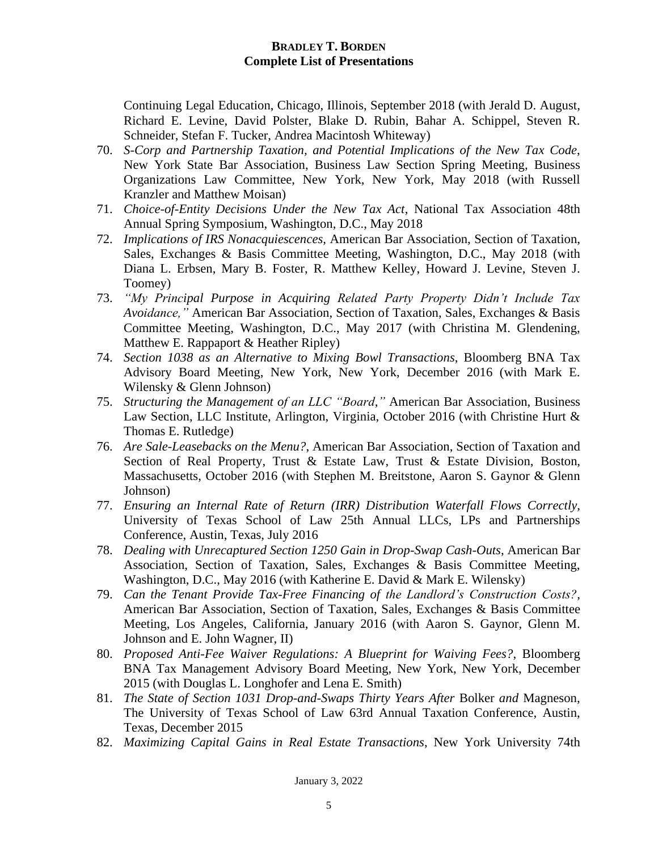Continuing Legal Education, Chicago, Illinois, September 2018 (with Jerald D. August, Richard E. Levine, David Polster, Blake D. Rubin, Bahar A. Schippel, Steven R. Schneider, Stefan F. Tucker, Andrea Macintosh Whiteway)

- 70. *S-Corp and Partnership Taxation, and Potential Implications of the New Tax Code*, New York State Bar Association, Business Law Section Spring Meeting, Business Organizations Law Committee, New York, New York, May 2018 (with Russell Kranzler and Matthew Moisan)
- 71. *Choice-of-Entity Decisions Under the New Tax Act*, National Tax Association 48th Annual Spring Symposium, Washington, D.C., May 2018
- 72. *Implications of IRS Nonacquiescences*, American Bar Association, Section of Taxation, Sales, Exchanges & Basis Committee Meeting, Washington, D.C., May 2018 (with Diana L. Erbsen, Mary B. Foster, R. Matthew Kelley, Howard J. Levine, Steven J. Toomey)
- 73. *"My Principal Purpose in Acquiring Related Party Property Didn't Include Tax Avoidance,"* American Bar Association, Section of Taxation, Sales, Exchanges & Basis Committee Meeting, Washington, D.C., May 2017 (with Christina M. Glendening, Matthew E. Rappaport & Heather Ripley)
- 74. *Section 1038 as an Alternative to Mixing Bowl Transactions*, Bloomberg BNA Tax Advisory Board Meeting, New York, New York, December 2016 (with Mark E. Wilensky & Glenn Johnson)
- 75. *Structuring the Management of an LLC "Board*,*"* American Bar Association, Business Law Section, LLC Institute, Arlington, Virginia, October 2016 (with Christine Hurt & Thomas E. Rutledge)
- 76. *Are Sale-Leasebacks on the Menu?*, American Bar Association, Section of Taxation and Section of Real Property, Trust & Estate Law, Trust & Estate Division, Boston, Massachusetts, October 2016 (with Stephen M. Breitstone, Aaron S. Gaynor & Glenn Johnson)
- 77. *Ensuring an Internal Rate of Return (IRR) Distribution Waterfall Flows Correctly*, University of Texas School of Law 25th Annual LLCs, LPs and Partnerships Conference, Austin, Texas, July 2016
- 78. *Dealing with Unrecaptured Section 1250 Gain in Drop-Swap Cash-Outs*, American Bar Association, Section of Taxation, Sales, Exchanges & Basis Committee Meeting, Washington, D.C., May 2016 (with Katherine E. David & Mark E. Wilensky)
- 79. *Can the Tenant Provide Tax-Free Financing of the Landlord's Construction Costs?*, American Bar Association, Section of Taxation, Sales, Exchanges & Basis Committee Meeting, Los Angeles, California, January 2016 (with Aaron S. Gaynor, Glenn M. Johnson and E. John Wagner, II)
- 80. *Proposed Anti-Fee Waiver Regulations: A Blueprint for Waiving Fees?*, Bloomberg BNA Tax Management Advisory Board Meeting, New York, New York, December 2015 (with Douglas L. Longhofer and Lena E. Smith)
- 81. *The State of Section 1031 Drop-and-Swaps Thirty Years After* Bolker *and* Magneson, The University of Texas School of Law 63rd Annual Taxation Conference, Austin, Texas, December 2015
- 82. *Maximizing Capital Gains in Real Estate Transactions*, New York University 74th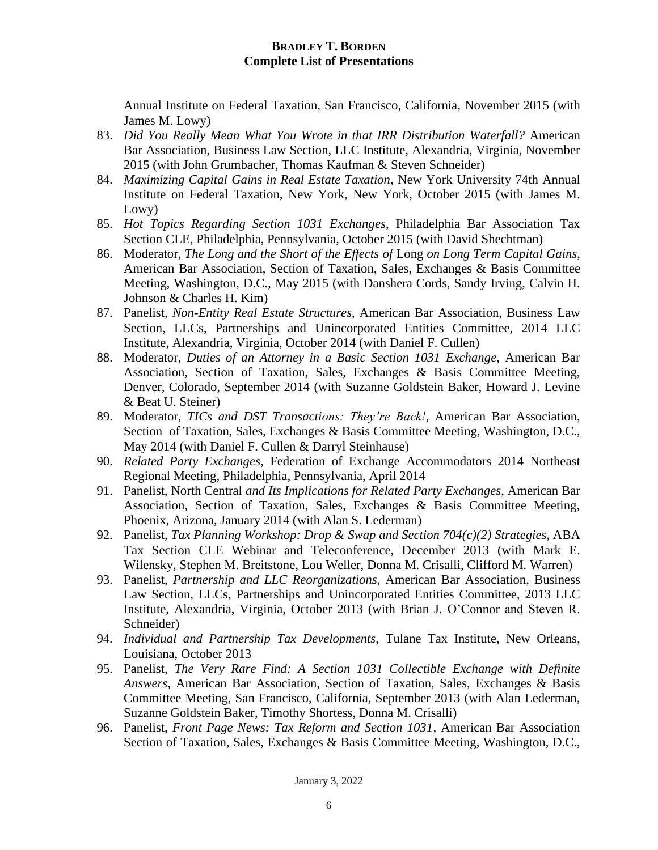Annual Institute on Federal Taxation, San Francisco, California, November 2015 (with James M. Lowy)

- 83. *Did You Really Mean What You Wrote in that IRR Distribution Waterfall?* American Bar Association, Business Law Section, LLC Institute, Alexandria, Virginia, November 2015 (with John Grumbacher, Thomas Kaufman & Steven Schneider)
- 84. *Maximizing Capital Gains in Real Estate Taxation*, New York University 74th Annual Institute on Federal Taxation, New York, New York, October 2015 (with James M. Lowy)
- 85. *Hot Topics Regarding Section 1031 Exchanges*, Philadelphia Bar Association Tax Section CLE, Philadelphia, Pennsylvania, October 2015 (with David Shechtman)
- 86. Moderator, *The Long and the Short of the Effects of* Long *on Long Term Capital Gains*, American Bar Association, Section of Taxation, Sales, Exchanges & Basis Committee Meeting, Washington, D.C., May 2015 (with Danshera Cords, Sandy Irving, Calvin H. Johnson & Charles H. Kim)
- 87. Panelist, *Non-Entity Real Estate Structures*, American Bar Association, Business Law Section, LLCs, Partnerships and Unincorporated Entities Committee, 2014 LLC Institute, Alexandria, Virginia, October 2014 (with Daniel F. Cullen)
- 88. Moderator, *Duties of an Attorney in a Basic Section 1031 Exchange*, American Bar Association, Section of Taxation, Sales, Exchanges & Basis Committee Meeting, Denver, Colorado, September 2014 (with Suzanne Goldstein Baker, Howard J. Levine & Beat U. Steiner)
- 89. Moderator, *TICs and DST Transactions: They're Back!*, American Bar Association, Section of Taxation, Sales, Exchanges & Basis Committee Meeting, Washington, D.C., May 2014 (with Daniel F. Cullen & Darryl Steinhause)
- 90. *Related Party Exchanges*, Federation of Exchange Accommodators 2014 Northeast Regional Meeting, Philadelphia, Pennsylvania, April 2014
- 91. Panelist, North Central *and Its Implications for Related Party Exchanges*, American Bar Association, Section of Taxation, Sales, Exchanges & Basis Committee Meeting, Phoenix, Arizona, January 2014 (with Alan S. Lederman)
- 92. Panelist, *Tax Planning Workshop: Drop & Swap and Section 704(c)(2) Strategies*, ABA Tax Section CLE Webinar and Teleconference, December 2013 (with Mark E. Wilensky, Stephen M. Breitstone, Lou Weller, Donna M. Crisalli, Clifford M. Warren)
- 93. Panelist, *Partnership and LLC Reorganizations*, American Bar Association, Business Law Section, LLCs, Partnerships and Unincorporated Entities Committee, 2013 LLC Institute, Alexandria, Virginia, October 2013 (with Brian J. O'Connor and Steven R. Schneider)
- 94. *Individual and Partnership Tax Developments*, Tulane Tax Institute, New Orleans, Louisiana, October 2013
- 95. Panelist, *The Very Rare Find: A Section 1031 Collectible Exchange with Definite Answers*, American Bar Association, Section of Taxation, Sales, Exchanges & Basis Committee Meeting, San Francisco, California, September 2013 (with Alan Lederman, Suzanne Goldstein Baker, Timothy Shortess, Donna M. Crisalli)
- 96. Panelist, *Front Page News: Tax Reform and Section 1031*, American Bar Association Section of Taxation, Sales, Exchanges & Basis Committee Meeting, Washington, D.C.,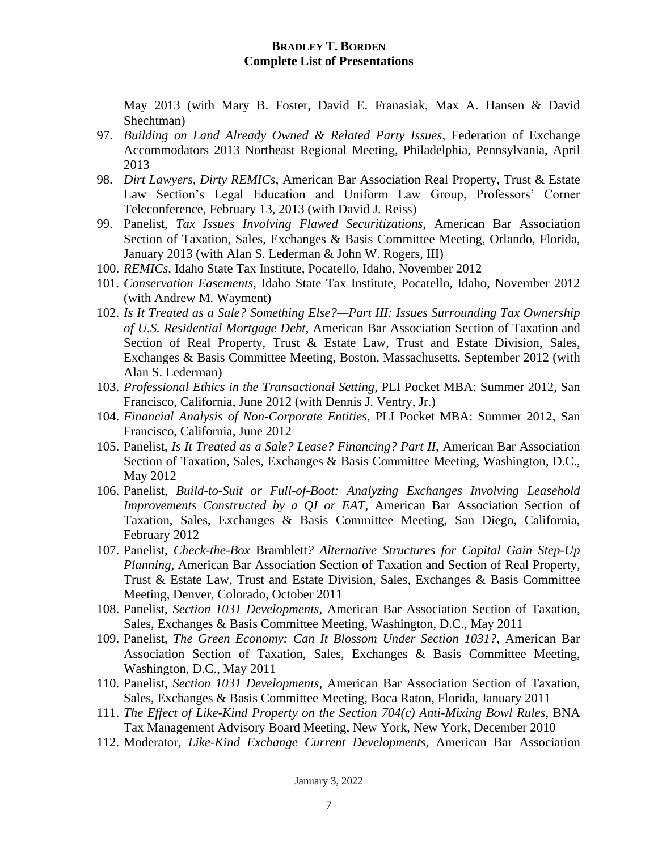May 2013 (with Mary B. Foster, David E. Franasiak, Max A. Hansen & David Shechtman)

- 97. *Building on Land Already Owned & Related Party Issues*, Federation of Exchange Accommodators 2013 Northeast Regional Meeting, Philadelphia, Pennsylvania, April 2013
- 98. *Dirt Lawyers, Dirty REMICs*, American Bar Association Real Property, Trust & Estate Law Section's Legal Education and Uniform Law Group, Professors' Corner Teleconference, February 13, 2013 (with David J. Reiss)
- 99. Panelist, *Tax Issues Involving Flawed Securitizations*, American Bar Association Section of Taxation, Sales, Exchanges & Basis Committee Meeting, Orlando, Florida, January 2013 (with Alan S. Lederman & John W. Rogers, III)
- 100. *REMICs*, Idaho State Tax Institute, Pocatello, Idaho, November 2012
- 101. *Conservation Easements*, Idaho State Tax Institute, Pocatello, Idaho, November 2012 (with Andrew M. Wayment)
- 102. *Is It Treated as a Sale? Something Else?—Part III: Issues Surrounding Tax Ownership of U.S. Residential Mortgage Debt*, American Bar Association Section of Taxation and Section of Real Property, Trust & Estate Law, Trust and Estate Division, Sales, Exchanges & Basis Committee Meeting, Boston, Massachusetts, September 2012 (with Alan S. Lederman)
- 103. *Professional Ethics in the Transactional Setting*, PLI Pocket MBA: Summer 2012, San Francisco, California, June 2012 (with Dennis J. Ventry, Jr.)
- 104. *Financial Analysis of Non-Corporate Entities*, PLI Pocket MBA: Summer 2012, San Francisco, California, June 2012
- 105. Panelist, *Is It Treated as a Sale? Lease? Financing? Part II*, American Bar Association Section of Taxation, Sales, Exchanges & Basis Committee Meeting, Washington, D.C., May 2012
- 106. Panelist, *Build-to-Suit or Full-of-Boot: Analyzing Exchanges Involving Leasehold Improvements Constructed by a QI or EAT*, American Bar Association Section of Taxation, Sales, Exchanges & Basis Committee Meeting, San Diego, California, February 2012
- 107. Panelist, *Check-the-Box* Bramblett*? Alternative Structures for Capital Gain Step-Up Planning*, American Bar Association Section of Taxation and Section of Real Property, Trust & Estate Law, Trust and Estate Division, Sales, Exchanges & Basis Committee Meeting, Denver, Colorado, October 2011
- 108. Panelist, *Section 1031 Developments*, American Bar Association Section of Taxation, Sales, Exchanges & Basis Committee Meeting, Washington, D.C., May 2011
- 109. Panelist, *The Green Economy: Can It Blossom Under Section 1031?*, American Bar Association Section of Taxation, Sales, Exchanges & Basis Committee Meeting, Washington, D.C., May 2011
- 110. Panelist, *Section 1031 Developments*, American Bar Association Section of Taxation, Sales, Exchanges & Basis Committee Meeting, Boca Raton, Florida, January 2011
- 111. *The Effect of Like-Kind Property on the Section 704(c) Anti-Mixing Bowl Rules*, BNA Tax Management Advisory Board Meeting, New York, New York, December 2010
- 112. Moderator, *Like-Kind Exchange Current Developments*, American Bar Association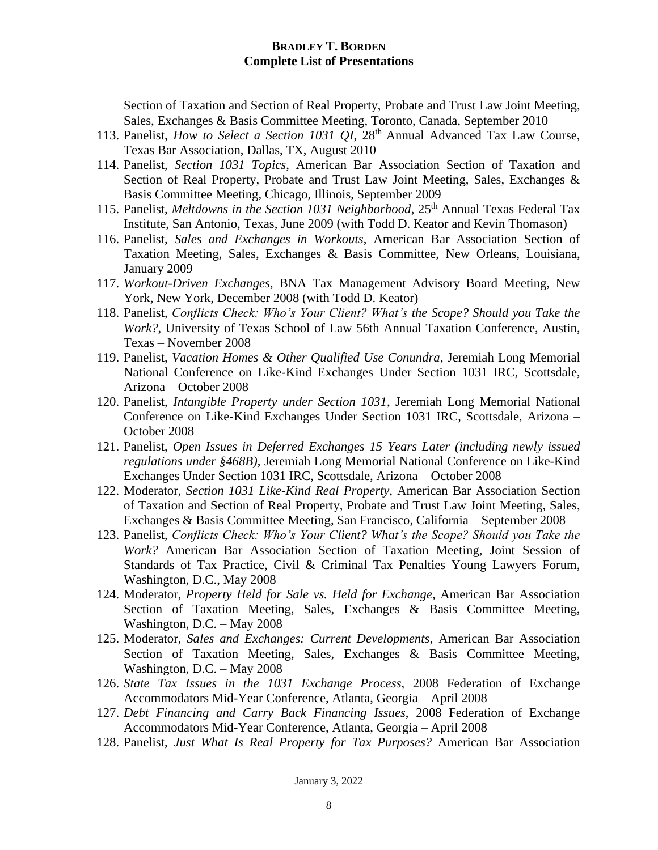Section of Taxation and Section of Real Property, Probate and Trust Law Joint Meeting, Sales, Exchanges & Basis Committee Meeting, Toronto, Canada, September 2010

- 113. Panelist, *How to Select a Section 1031 QI*, 28<sup>th</sup> Annual Advanced Tax Law Course, Texas Bar Association, Dallas, TX, August 2010
- 114. Panelist, *Section 1031 Topics*, American Bar Association Section of Taxation and Section of Real Property, Probate and Trust Law Joint Meeting, Sales, Exchanges & Basis Committee Meeting, Chicago, Illinois, September 2009
- 115. Panelist, *Meltdowns in the Section 1031 Neighborhood*, 25<sup>th</sup> Annual Texas Federal Tax Institute, San Antonio, Texas, June 2009 (with Todd D. Keator and Kevin Thomason)
- 116. Panelist, *Sales and Exchanges in Workouts*, American Bar Association Section of Taxation Meeting, Sales, Exchanges & Basis Committee, New Orleans, Louisiana, January 2009
- 117. *Workout-Driven Exchanges*, BNA Tax Management Advisory Board Meeting, New York, New York, December 2008 (with Todd D. Keator)
- 118. Panelist, *Conflicts Check: Who's Your Client? What's the Scope? Should you Take the Work?*, University of Texas School of Law 56th Annual Taxation Conference, Austin, Texas – November 2008
- 119. Panelist, *Vacation Homes & Other Qualified Use Conundra*, Jeremiah Long Memorial National Conference on Like-Kind Exchanges Under Section 1031 IRC, Scottsdale, Arizona – October 2008
- 120. Panelist, *Intangible Property under Section 1031*, Jeremiah Long Memorial National Conference on Like-Kind Exchanges Under Section 1031 IRC, Scottsdale, Arizona – October 2008
- 121. Panelist, *Open Issues in Deferred Exchanges 15 Years Later (including newly issued regulations under §468B)*, Jeremiah Long Memorial National Conference on Like-Kind Exchanges Under Section 1031 IRC, Scottsdale, Arizona – October 2008
- 122. Moderator, *Section 1031 Like-Kind Real Property*, American Bar Association Section of Taxation and Section of Real Property, Probate and Trust Law Joint Meeting, Sales, Exchanges & Basis Committee Meeting, San Francisco, California – September 2008
- 123. Panelist, *Conflicts Check: Who's Your Client? What's the Scope? Should you Take the Work?* American Bar Association Section of Taxation Meeting, Joint Session of Standards of Tax Practice, Civil & Criminal Tax Penalties Young Lawyers Forum, Washington, D.C., May 2008
- 124. Moderator, *Property Held for Sale vs. Held for Exchange*, American Bar Association Section of Taxation Meeting, Sales, Exchanges & Basis Committee Meeting, Washington, D.C. – May 2008
- 125. Moderator, *Sales and Exchanges: Current Developments*, American Bar Association Section of Taxation Meeting, Sales, Exchanges & Basis Committee Meeting, Washington, D.C. – May 2008
- 126. *State Tax Issues in the 1031 Exchange Process*, 2008 Federation of Exchange Accommodators Mid-Year Conference, Atlanta, Georgia – April 2008
- 127. *Debt Financing and Carry Back Financing Issues*, 2008 Federation of Exchange Accommodators Mid-Year Conference, Atlanta, Georgia – April 2008
- 128. Panelist, *Just What Is Real Property for Tax Purposes?* American Bar Association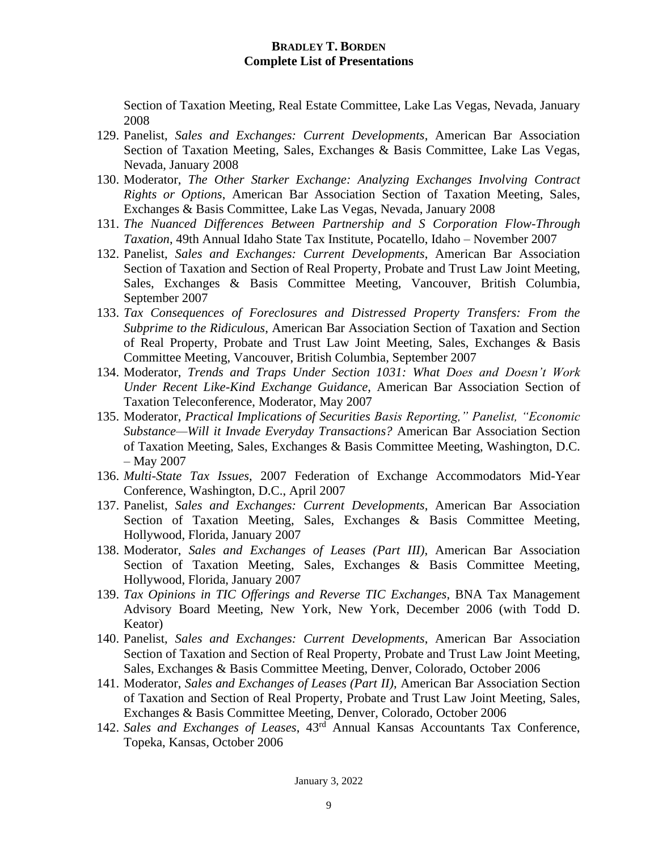Section of Taxation Meeting, Real Estate Committee, Lake Las Vegas, Nevada, January 2008

- 129. Panelist, *Sales and Exchanges: Current Developments*, American Bar Association Section of Taxation Meeting, Sales, Exchanges & Basis Committee, Lake Las Vegas, Nevada, January 2008
- 130. Moderator, *The Other Starker Exchange: Analyzing Exchanges Involving Contract Rights or Options*, American Bar Association Section of Taxation Meeting, Sales, Exchanges & Basis Committee, Lake Las Vegas, Nevada, January 2008
- 131. *The Nuanced Differences Between Partnership and S Corporation Flow-Through Taxation*, 49th Annual Idaho State Tax Institute, Pocatello, Idaho – November 2007
- 132. Panelist, *Sales and Exchanges: Current Developments*, American Bar Association Section of Taxation and Section of Real Property, Probate and Trust Law Joint Meeting, Sales, Exchanges & Basis Committee Meeting, Vancouver, British Columbia, September 2007
- 133. *Tax Consequences of Foreclosures and Distressed Property Transfers: From the Subprime to the Ridiculous*, American Bar Association Section of Taxation and Section of Real Property, Probate and Trust Law Joint Meeting, Sales, Exchanges & Basis Committee Meeting, Vancouver, British Columbia, September 2007
- 134. Moderator, *Trends and Traps Under Section 1031: What Does and Doesn't Work Under Recent Like-Kind Exchange Guidance*, American Bar Association Section of Taxation Teleconference, Moderator, May 2007
- 135. Moderator, *Practical Implications of Securities Basis Reporting," Panelist, "Economic Substance—Will it Invade Everyday Transactions?* American Bar Association Section of Taxation Meeting, Sales, Exchanges & Basis Committee Meeting, Washington, D.C. – May 2007
- 136. *Multi-State Tax Issues*, 2007 Federation of Exchange Accommodators Mid-Year Conference, Washington, D.C., April 2007
- 137. Panelist, *Sales and Exchanges: Current Developments*, American Bar Association Section of Taxation Meeting, Sales, Exchanges & Basis Committee Meeting, Hollywood, Florida, January 2007
- 138. Moderator, *Sales and Exchanges of Leases (Part III)*, American Bar Association Section of Taxation Meeting, Sales, Exchanges & Basis Committee Meeting, Hollywood, Florida, January 2007
- 139. *Tax Opinions in TIC Offerings and Reverse TIC Exchanges*, BNA Tax Management Advisory Board Meeting, New York, New York, December 2006 (with Todd D. Keator)
- 140. Panelist, *Sales and Exchanges: Current Developments*, American Bar Association Section of Taxation and Section of Real Property, Probate and Trust Law Joint Meeting, Sales, Exchanges & Basis Committee Meeting, Denver, Colorado, October 2006
- 141. Moderator, *Sales and Exchanges of Leases (Part II)*, American Bar Association Section of Taxation and Section of Real Property, Probate and Trust Law Joint Meeting, Sales, Exchanges & Basis Committee Meeting, Denver, Colorado, October 2006
- 142. *Sales and Exchanges of Leases*, 43rd Annual Kansas Accountants Tax Conference, Topeka, Kansas, October 2006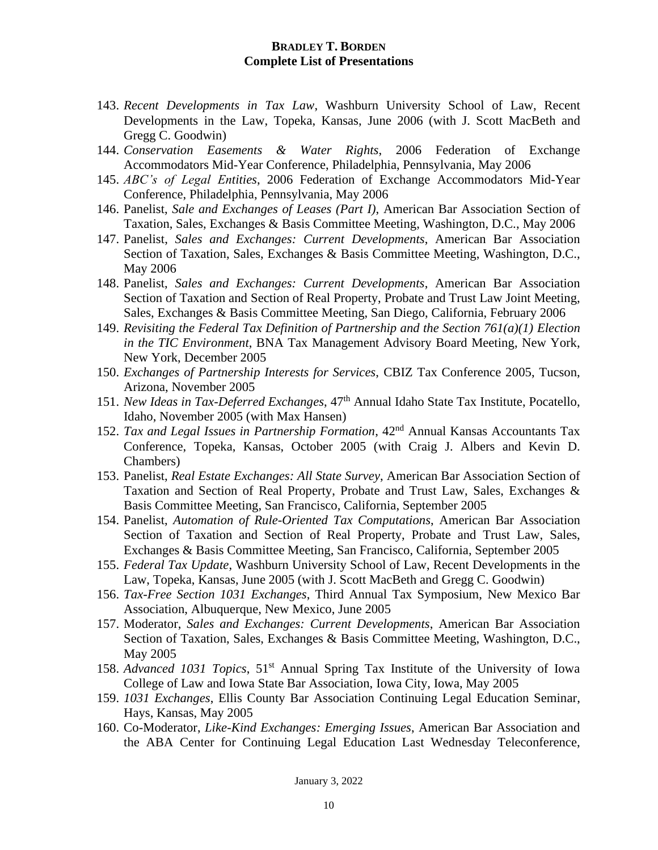- 143. *Recent Developments in Tax Law*, Washburn University School of Law, Recent Developments in the Law, Topeka, Kansas, June 2006 (with J. Scott MacBeth and Gregg C. Goodwin)
- 144. *Conservation Easements & Water Rights*, 2006 Federation of Exchange Accommodators Mid-Year Conference, Philadelphia, Pennsylvania, May 2006
- 145. *ABC's of Legal Entities*, 2006 Federation of Exchange Accommodators Mid-Year Conference, Philadelphia, Pennsylvania, May 2006
- 146. Panelist, *Sale and Exchanges of Leases (Part I)*, American Bar Association Section of Taxation, Sales, Exchanges & Basis Committee Meeting, Washington, D.C., May 2006
- 147. Panelist, *Sales and Exchanges: Current Developments*, American Bar Association Section of Taxation, Sales, Exchanges & Basis Committee Meeting, Washington, D.C., May 2006
- 148. Panelist, *Sales and Exchanges: Current Developments*, American Bar Association Section of Taxation and Section of Real Property, Probate and Trust Law Joint Meeting, Sales, Exchanges & Basis Committee Meeting, San Diego, California, February 2006
- 149. *Revisiting the Federal Tax Definition of Partnership and the Section 761(a)(1) Election in the TIC Environment*, BNA Tax Management Advisory Board Meeting, New York, New York, December 2005
- 150. *Exchanges of Partnership Interests for Services*, CBIZ Tax Conference 2005, Tucson, Arizona, November 2005
- 151. *New Ideas in Tax-Deferred Exchanges*, 47th Annual Idaho State Tax Institute, Pocatello, Idaho, November 2005 (with Max Hansen)
- 152. *Tax and Legal Issues in Partnership Formation*, 42nd Annual Kansas Accountants Tax Conference, Topeka, Kansas, October 2005 (with Craig J. Albers and Kevin D. Chambers)
- 153. Panelist, *Real Estate Exchanges: All State Survey*, American Bar Association Section of Taxation and Section of Real Property, Probate and Trust Law, Sales, Exchanges & Basis Committee Meeting, San Francisco, California, September 2005
- 154. Panelist, *Automation of Rule-Oriented Tax Computations*, American Bar Association Section of Taxation and Section of Real Property, Probate and Trust Law, Sales, Exchanges & Basis Committee Meeting, San Francisco, California, September 2005
- 155. *Federal Tax Update*, Washburn University School of Law, Recent Developments in the Law, Topeka, Kansas, June 2005 (with J. Scott MacBeth and Gregg C. Goodwin)
- 156. *Tax-Free Section 1031 Exchanges*, Third Annual Tax Symposium, New Mexico Bar Association, Albuquerque, New Mexico, June 2005
- 157. Moderator, *Sales and Exchanges: Current Developments*, American Bar Association Section of Taxation, Sales, Exchanges & Basis Committee Meeting, Washington, D.C., May 2005
- 158. *Advanced 1031 Topics*, 51st Annual Spring Tax Institute of the University of Iowa College of Law and Iowa State Bar Association, Iowa City, Iowa, May 2005
- 159. *1031 Exchanges*, Ellis County Bar Association Continuing Legal Education Seminar, Hays, Kansas, May 2005
- 160. Co-Moderator, *Like-Kind Exchanges: Emerging Issues*, American Bar Association and the ABA Center for Continuing Legal Education Last Wednesday Teleconference,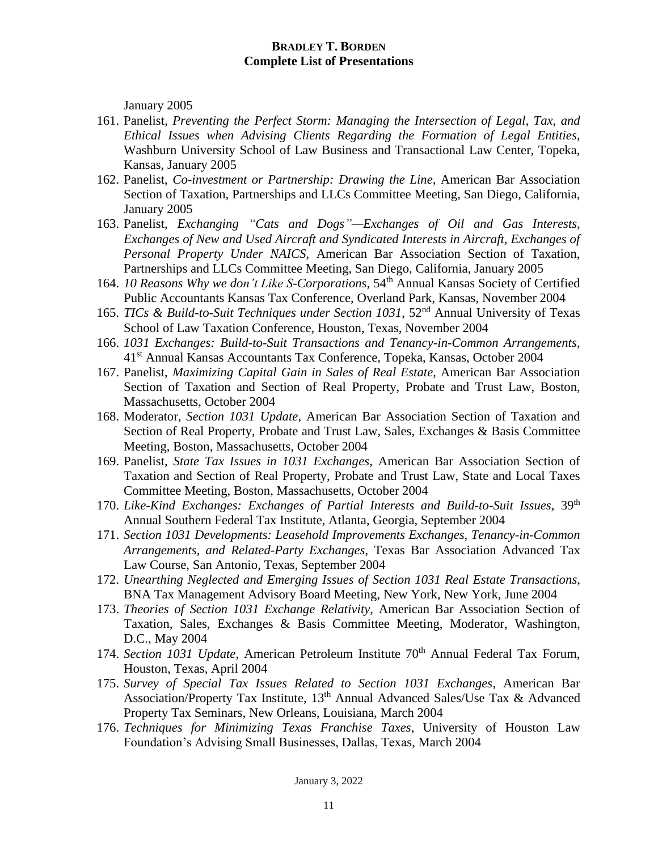January 2005

- 161. Panelist, *Preventing the Perfect Storm: Managing the Intersection of Legal, Tax, and Ethical Issues when Advising Clients Regarding the Formation of Legal Entities*, Washburn University School of Law Business and Transactional Law Center, Topeka, Kansas, January 2005
- 162. Panelist, *Co-investment or Partnership: Drawing the Line*, American Bar Association Section of Taxation, Partnerships and LLCs Committee Meeting, San Diego, California, January 2005
- 163. Panelist, *Exchanging "Cats and Dogs"—Exchanges of Oil and Gas Interests, Exchanges of New and Used Aircraft and Syndicated Interests in Aircraft, Exchanges of Personal Property Under NAICS*, American Bar Association Section of Taxation, Partnerships and LLCs Committee Meeting, San Diego, California, January 2005
- 164. *10 Reasons Why we don't Like S-Corporations*, 54th Annual Kansas Society of Certified Public Accountants Kansas Tax Conference, Overland Park, Kansas, November 2004
- 165. *TICs & Build-to-Suit Techniques under Section 1031*, 52nd Annual University of Texas School of Law Taxation Conference, Houston, Texas, November 2004
- 166. *1031 Exchanges: Build-to-Suit Transactions and Tenancy-in-Common Arrangements*, 41st Annual Kansas Accountants Tax Conference, Topeka, Kansas, October 2004
- 167. Panelist, *Maximizing Capital Gain in Sales of Real Estate*, American Bar Association Section of Taxation and Section of Real Property, Probate and Trust Law, Boston, Massachusetts, October 2004
- 168. Moderator, *Section 1031 Update*, American Bar Association Section of Taxation and Section of Real Property, Probate and Trust Law, Sales, Exchanges & Basis Committee Meeting, Boston, Massachusetts, October 2004
- 169. Panelist, *State Tax Issues in 1031 Exchanges*, American Bar Association Section of Taxation and Section of Real Property, Probate and Trust Law, State and Local Taxes Committee Meeting, Boston, Massachusetts, October 2004
- 170. *Like-Kind Exchanges: Exchanges of Partial Interests and Build-to-Suit Issues*, 39th Annual Southern Federal Tax Institute, Atlanta, Georgia, September 2004
- 171. *Section 1031 Developments: Leasehold Improvements Exchanges, Tenancy-in-Common Arrangements, and Related-Party Exchanges*, Texas Bar Association Advanced Tax Law Course, San Antonio, Texas, September 2004
- 172. *Unearthing Neglected and Emerging Issues of Section 1031 Real Estate Transactions*, BNA Tax Management Advisory Board Meeting, New York, New York, June 2004
- 173. *Theories of Section 1031 Exchange Relativity*, American Bar Association Section of Taxation, Sales, Exchanges & Basis Committee Meeting, Moderator, Washington, D.C., May 2004
- 174. *Section 1031 Update*, American Petroleum Institute 70<sup>th</sup> Annual Federal Tax Forum. Houston, Texas, April 2004
- 175. *Survey of Special Tax Issues Related to Section 1031 Exchanges*, American Bar Association/Property Tax Institute, 13<sup>th</sup> Annual Advanced Sales/Use Tax & Advanced Property Tax Seminars, New Orleans, Louisiana, March 2004
- 176. *Techniques for Minimizing Texas Franchise Taxes*, University of Houston Law Foundation's Advising Small Businesses, Dallas, Texas, March 2004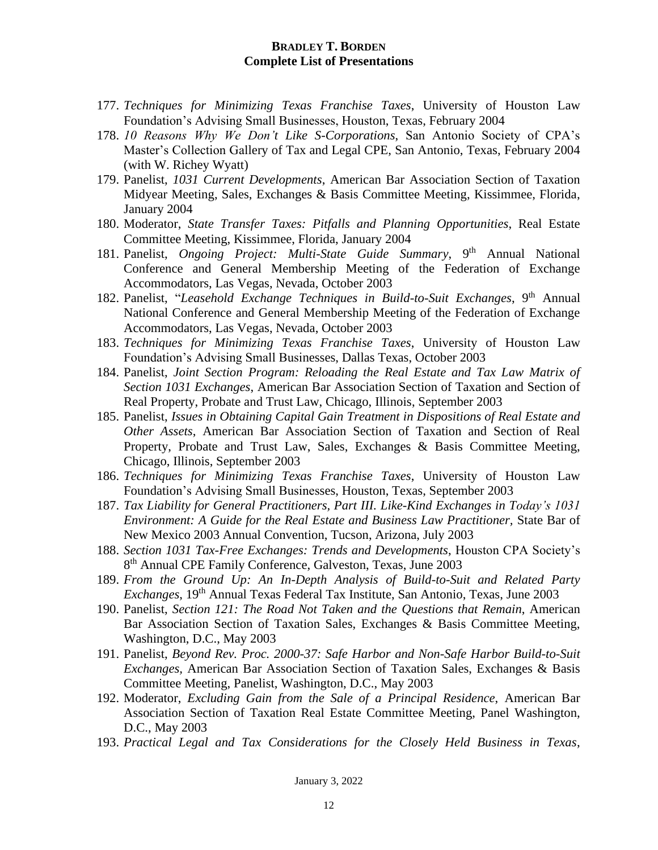- 177. *Techniques for Minimizing Texas Franchise Taxes*, University of Houston Law Foundation's Advising Small Businesses, Houston, Texas, February 2004
- 178. *10 Reasons Why We Don't Like S-Corporations*, San Antonio Society of CPA's Master's Collection Gallery of Tax and Legal CPE, San Antonio, Texas, February 2004 (with W. Richey Wyatt)
- 179. Panelist, *1031 Current Developments*, American Bar Association Section of Taxation Midyear Meeting, Sales, Exchanges & Basis Committee Meeting, Kissimmee, Florida, January 2004
- 180. Moderator, *State Transfer Taxes: Pitfalls and Planning Opportunities*, Real Estate Committee Meeting, Kissimmee, Florida, January 2004
- 181. Panelist, *Ongoing Project: Multi-State Guide Summary*, 9<sup>th</sup> Annual National Conference and General Membership Meeting of the Federation of Exchange Accommodators, Las Vegas, Nevada, October 2003
- 182. Panelist, "Leasehold Exchange Techniques in Build-to-Suit Exchanges, 9<sup>th</sup> Annual National Conference and General Membership Meeting of the Federation of Exchange Accommodators, Las Vegas, Nevada, October 2003
- 183. *Techniques for Minimizing Texas Franchise Taxes*, University of Houston Law Foundation's Advising Small Businesses, Dallas Texas, October 2003
- 184. Panelist, *Joint Section Program: Reloading the Real Estate and Tax Law Matrix of Section 1031 Exchanges*, American Bar Association Section of Taxation and Section of Real Property, Probate and Trust Law, Chicago, Illinois, September 2003
- 185. Panelist, *Issues in Obtaining Capital Gain Treatment in Dispositions of Real Estate and Other Assets*, American Bar Association Section of Taxation and Section of Real Property, Probate and Trust Law, Sales, Exchanges & Basis Committee Meeting, Chicago, Illinois, September 2003
- 186. *Techniques for Minimizing Texas Franchise Taxes*, University of Houston Law Foundation's Advising Small Businesses, Houston, Texas, September 2003
- 187. *Tax Liability for General Practitioners, Part III. Like-Kind Exchanges in Today's 1031 Environment: A Guide for the Real Estate and Business Law Practitioner,* State Bar of New Mexico 2003 Annual Convention, Tucson, Arizona, July 2003
- 188. *Section 1031 Tax-Free Exchanges: Trends and Developments*, Houston CPA Society's 8<sup>th</sup> Annual CPE Family Conference, Galveston, Texas, June 2003
- 189. *From the Ground Up: An In-Depth Analysis of Build-to-Suit and Related Party Exchanges*, 19<sup>th</sup> Annual Texas Federal Tax Institute, San Antonio, Texas, June 2003
- 190. Panelist, *Section 121: The Road Not Taken and the Questions that Remain*, American Bar Association Section of Taxation Sales, Exchanges & Basis Committee Meeting, Washington, D.C., May 2003
- 191. Panelist, *Beyond Rev. Proc. 2000-37: Safe Harbor and Non-Safe Harbor Build-to-Suit Exchanges,* American Bar Association Section of Taxation Sales, Exchanges & Basis Committee Meeting, Panelist, Washington, D.C., May 2003
- 192. Moderator, *Excluding Gain from the Sale of a Principal Residence*, American Bar Association Section of Taxation Real Estate Committee Meeting, Panel Washington, D.C., May 2003
- 193. *Practical Legal and Tax Considerations for the Closely Held Business in Texas*,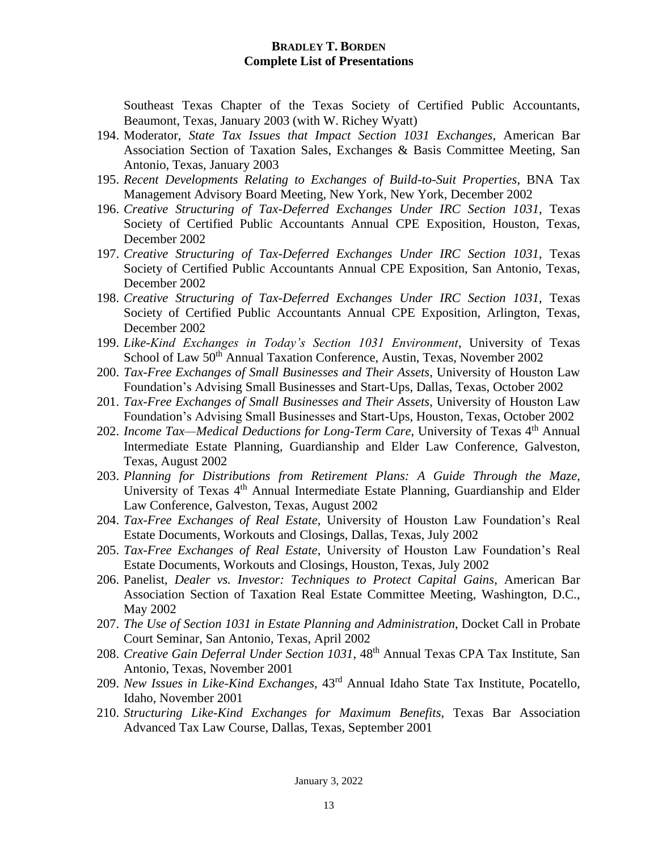Southeast Texas Chapter of the Texas Society of Certified Public Accountants, Beaumont, Texas, January 2003 (with W. Richey Wyatt)

- 194. Moderator, *State Tax Issues that Impact Section 1031 Exchanges*, American Bar Association Section of Taxation Sales, Exchanges & Basis Committee Meeting, San Antonio, Texas, January 2003
- 195. *Recent Developments Relating to Exchanges of Build-to-Suit Properties*, BNA Tax Management Advisory Board Meeting, New York, New York, December 2002
- 196. *Creative Structuring of Tax-Deferred Exchanges Under IRC Section 1031*, Texas Society of Certified Public Accountants Annual CPE Exposition, Houston, Texas, December 2002
- 197. *Creative Structuring of Tax-Deferred Exchanges Under IRC Section 1031*, Texas Society of Certified Public Accountants Annual CPE Exposition, San Antonio, Texas, December 2002
- 198. *Creative Structuring of Tax-Deferred Exchanges Under IRC Section 1031*, Texas Society of Certified Public Accountants Annual CPE Exposition, Arlington, Texas, December 2002
- 199. *Like-Kind Exchanges in Today's Section 1031 Environment*, University of Texas School of Law 50<sup>th</sup> Annual Taxation Conference, Austin, Texas, November 2002
- 200. *Tax-Free Exchanges of Small Businesses and Their Assets*, University of Houston Law Foundation's Advising Small Businesses and Start-Ups, Dallas, Texas, October 2002
- 201. *Tax-Free Exchanges of Small Businesses and Their Assets*, University of Houston Law Foundation's Advising Small Businesses and Start-Ups, Houston, Texas, October 2002
- 202. *Income Tax—Medical Deductions for Long-Term Care*, University of Texas 4<sup>th</sup> Annual Intermediate Estate Planning, Guardianship and Elder Law Conference, Galveston, Texas, August 2002
- 203. *Planning for Distributions from Retirement Plans: A Guide Through the Maze*, University of Texas 4<sup>th</sup> Annual Intermediate Estate Planning, Guardianship and Elder Law Conference, Galveston, Texas, August 2002
- 204. *Tax-Free Exchanges of Real Estate*, University of Houston Law Foundation's Real Estate Documents, Workouts and Closings, Dallas, Texas, July 2002
- 205. *Tax-Free Exchanges of Real Estate*, University of Houston Law Foundation's Real Estate Documents, Workouts and Closings, Houston, Texas, July 2002
- 206. Panelist, *Dealer vs. Investor: Techniques to Protect Capital Gains*, American Bar Association Section of Taxation Real Estate Committee Meeting, Washington, D.C., May 2002
- 207. *The Use of Section 1031 in Estate Planning and Administration*, Docket Call in Probate Court Seminar, San Antonio, Texas, April 2002
- 208. *Creative Gain Deferral Under Section 1031*, 48th Annual Texas CPA Tax Institute, San Antonio, Texas, November 2001
- 209. *New Issues in Like-Kind Exchanges*, 43rd Annual Idaho State Tax Institute, Pocatello, Idaho, November 2001
- 210. *Structuring Like-Kind Exchanges for Maximum Benefits*, Texas Bar Association Advanced Tax Law Course, Dallas, Texas, September 2001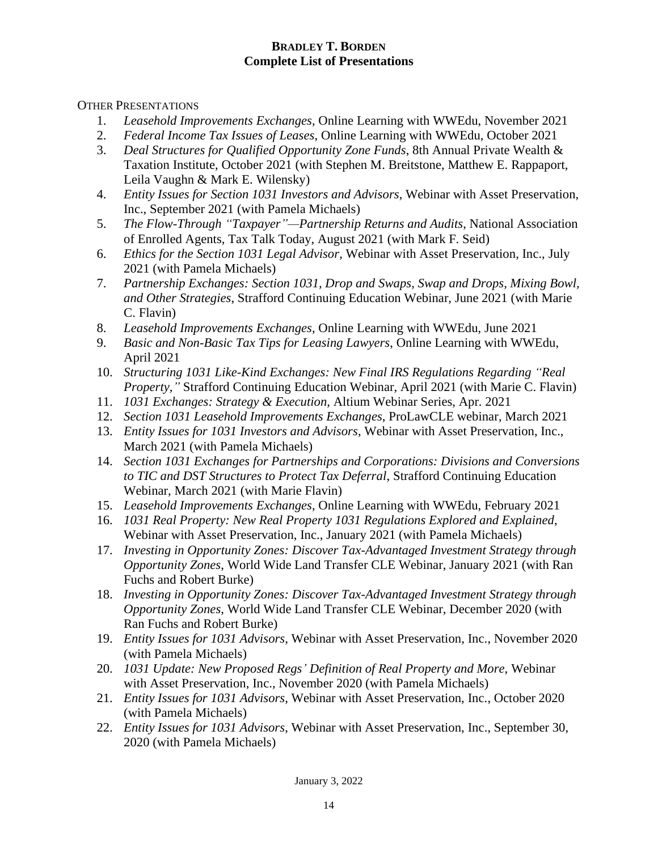OTHER PRESENTATIONS

- 1. *Leasehold Improvements Exchanges*, Online Learning with WWEdu, November 2021
- 2. *Federal Income Tax Issues of Leases*, Online Learning with WWEdu, October 2021
- 3. *Deal Structures for Qualified Opportunity Zone Funds*, 8th Annual Private Wealth & Taxation Institute, October 2021 (with Stephen M. Breitstone, Matthew E. Rappaport, Leila Vaughn & Mark E. Wilensky)
- 4. *Entity Issues for Section 1031 Investors and Advisors*, Webinar with Asset Preservation, Inc., September 2021 (with Pamela Michaels)
- 5. *The Flow-Through "Taxpayer"—Partnership Returns and Audits*, National Association of Enrolled Agents, Tax Talk Today, August 2021 (with Mark F. Seid)
- 6. *Ethics for the Section 1031 Legal Advisor*, Webinar with Asset Preservation, Inc., July 2021 (with Pamela Michaels)
- 7. *Partnership Exchanges: Section 1031, Drop and Swaps, Swap and Drops, Mixing Bowl, and Other Strategies*, Strafford Continuing Education Webinar, June 2021 (with Marie C. Flavin)
- 8. *Leasehold Improvements Exchanges*, Online Learning with WWEdu, June 2021
- 9. *Basic and Non-Basic Tax Tips for Leasing Lawyers*, Online Learning with WWEdu, April 2021
- 10. *Structuring 1031 Like-Kind Exchanges: New Final IRS Regulations Regarding "Real Property,"* Strafford Continuing Education Webinar, April 2021 (with Marie C. Flavin)
- 11. *1031 Exchanges: Strategy & Execution*, Altium Webinar Series, Apr. 2021
- 12. *Section 1031 Leasehold Improvements Exchanges*, ProLawCLE webinar, March 2021
- 13. *Entity Issues for 1031 Investors and Advisors*, Webinar with Asset Preservation, Inc., March 2021 (with Pamela Michaels)
- 14. *Section 1031 Exchanges for Partnerships and Corporations: Divisions and Conversions to TIC and DST Structures to Protect Tax Deferral*, Strafford Continuing Education Webinar, March 2021 (with Marie Flavin)
- 15. *Leasehold Improvements Exchanges*, Online Learning with WWEdu, February 2021
- 16. *1031 Real Property: New Real Property 1031 Regulations Explored and Explained*, Webinar with Asset Preservation, Inc., January 2021 (with Pamela Michaels)
- 17. *Investing in Opportunity Zones: Discover Tax-Advantaged Investment Strategy through Opportunity Zones*, World Wide Land Transfer CLE Webinar, January 2021 (with Ran Fuchs and Robert Burke)
- 18. *Investing in Opportunity Zones: Discover Tax-Advantaged Investment Strategy through Opportunity Zones*, World Wide Land Transfer CLE Webinar, December 2020 (with Ran Fuchs and Robert Burke)
- 19. *Entity Issues for 1031 Advisors*, Webinar with Asset Preservation, Inc., November 2020 (with Pamela Michaels)
- 20. *1031 Update: New Proposed Regs' Definition of Real Property and More*, Webinar with Asset Preservation, Inc., November 2020 (with Pamela Michaels)
- 21. *Entity Issues for 1031 Advisors*, Webinar with Asset Preservation, Inc., October 2020 (with Pamela Michaels)
- 22. *Entity Issues for 1031 Advisors*, Webinar with Asset Preservation, Inc., September 30, 2020 (with Pamela Michaels)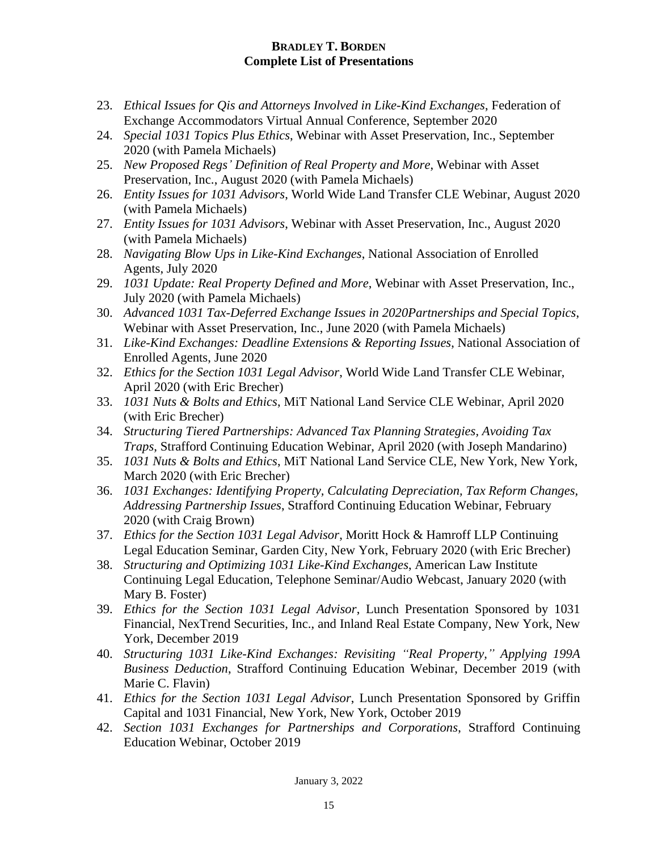- 23. *Ethical Issues for Qis and Attorneys Involved in Like-Kind Exchanges*, Federation of Exchange Accommodators Virtual Annual Conference, September 2020
- 24. *Special 1031 Topics Plus Ethics*, Webinar with Asset Preservation, Inc., September 2020 (with Pamela Michaels)
- 25. *New Proposed Regs' Definition of Real Property and More*, Webinar with Asset Preservation, Inc., August 2020 (with Pamela Michaels)
- 26. *Entity Issues for 1031 Advisors*, World Wide Land Transfer CLE Webinar, August 2020 (with Pamela Michaels)
- 27. *Entity Issues for 1031 Advisors*, Webinar with Asset Preservation, Inc., August 2020 (with Pamela Michaels)
- 28. *Navigating Blow Ups in Like-Kind Exchanges*, National Association of Enrolled Agents, July 2020
- 29. *1031 Update: Real Property Defined and More*, Webinar with Asset Preservation, Inc., July 2020 (with Pamela Michaels)
- 30. *Advanced 1031 Tax-Deferred Exchange Issues in 2020Partnerships and Special Topics*, Webinar with Asset Preservation, Inc., June 2020 (with Pamela Michaels)
- 31. *Like-Kind Exchanges: Deadline Extensions & Reporting Issues*, National Association of Enrolled Agents, June 2020
- 32. *Ethics for the Section 1031 Legal Advisor*, World Wide Land Transfer CLE Webinar, April 2020 (with Eric Brecher)
- 33. *1031 Nuts & Bolts and Ethics*, MiT National Land Service CLE Webinar, April 2020 (with Eric Brecher)
- 34. *Structuring Tiered Partnerships: Advanced Tax Planning Strategies, Avoiding Tax Traps*, Strafford Continuing Education Webinar, April 2020 (with Joseph Mandarino)
- 35. *1031 Nuts & Bolts and Ethics*, MiT National Land Service CLE, New York, New York, March 2020 (with Eric Brecher)
- 36. *1031 Exchanges: Identifying Property, Calculating Depreciation, Tax Reform Changes, Addressing Partnership Issues*, Strafford Continuing Education Webinar, February 2020 (with Craig Brown)
- 37. *Ethics for the Section 1031 Legal Advisor*, Moritt Hock & Hamroff LLP Continuing Legal Education Seminar, Garden City, New York, February 2020 (with Eric Brecher)
- 38. *Structuring and Optimizing 1031 Like-Kind Exchanges*, American Law Institute Continuing Legal Education, Telephone Seminar/Audio Webcast, January 2020 (with Mary B. Foster)
- 39. *Ethics for the Section 1031 Legal Advisor*, Lunch Presentation Sponsored by 1031 Financial, NexTrend Securities, Inc., and Inland Real Estate Company, New York, New York, December 2019
- 40. *Structuring 1031 Like-Kind Exchanges: Revisiting "Real Property," Applying 199A Business Deduction*, Strafford Continuing Education Webinar, December 2019 (with Marie C. Flavin)
- 41. *Ethics for the Section 1031 Legal Advisor*, Lunch Presentation Sponsored by Griffin Capital and 1031 Financial, New York, New York, October 2019
- 42. *Section 1031 Exchanges for Partnerships and Corporations*, Strafford Continuing Education Webinar, October 2019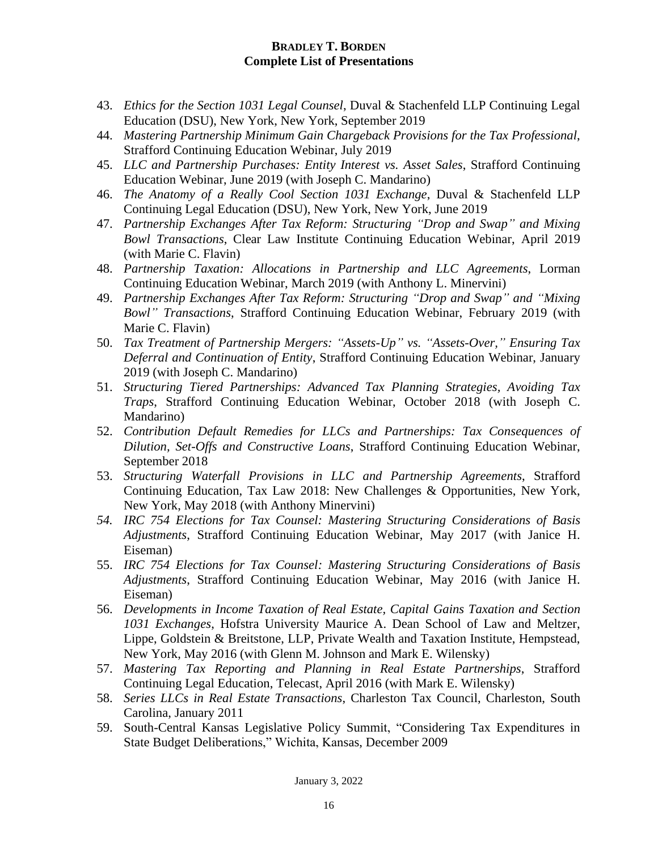- 43. *Ethics for the Section 1031 Legal Counsel*, Duval & Stachenfeld LLP Continuing Legal Education (DSU), New York, New York, September 2019
- 44. *Mastering Partnership Minimum Gain Chargeback Provisions for the Tax Professional*, Strafford Continuing Education Webinar, July 2019
- 45. *LLC and Partnership Purchases: Entity Interest vs. Asset Sales*, Strafford Continuing Education Webinar, June 2019 (with Joseph C. Mandarino)
- 46. *The Anatomy of a Really Cool Section 1031 Exchange*, Duval & Stachenfeld LLP Continuing Legal Education (DSU), New York, New York, June 2019
- 47. *Partnership Exchanges After Tax Reform: Structuring "Drop and Swap" and Mixing Bowl Transactions*, Clear Law Institute Continuing Education Webinar, April 2019 (with Marie C. Flavin)
- 48. *Partnership Taxation: Allocations in Partnership and LLC Agreements*, Lorman Continuing Education Webinar, March 2019 (with Anthony L. Minervini)
- 49. *Partnership Exchanges After Tax Reform: Structuring "Drop and Swap" and "Mixing Bowl" Transactions*, Strafford Continuing Education Webinar, February 2019 (with Marie C. Flavin)
- 50. *Tax Treatment of Partnership Mergers: "Assets-Up" vs. "Assets-Over," Ensuring Tax Deferral and Continuation of Entity*, Strafford Continuing Education Webinar, January 2019 (with Joseph C. Mandarino)
- 51. *Structuring Tiered Partnerships: Advanced Tax Planning Strategies, Avoiding Tax Traps*, Strafford Continuing Education Webinar, October 2018 (with Joseph C. Mandarino)
- 52. *Contribution Default Remedies for LLCs and Partnerships: Tax Consequences of Dilution, Set-Offs and Constructive Loans*, Strafford Continuing Education Webinar, September 2018
- 53. *Structuring Waterfall Provisions in LLC and Partnership Agreements*, Strafford Continuing Education, Tax Law 2018: New Challenges & Opportunities, New York, New York, May 2018 (with Anthony Minervini)
- *54. IRC 754 Elections for Tax Counsel: Mastering Structuring Considerations of Basis Adjustments*, Strafford Continuing Education Webinar, May 2017 (with Janice H. Eiseman)
- 55. *IRC 754 Elections for Tax Counsel: Mastering Structuring Considerations of Basis Adjustments*, Strafford Continuing Education Webinar, May 2016 (with Janice H. Eiseman)
- 56. *Developments in Income Taxation of Real Estate, Capital Gains Taxation and Section 1031 Exchanges*, Hofstra University Maurice A. Dean School of Law and Meltzer, Lippe, Goldstein & Breitstone, LLP, Private Wealth and Taxation Institute, Hempstead, New York, May 2016 (with Glenn M. Johnson and Mark E. Wilensky)
- 57. *Mastering Tax Reporting and Planning in Real Estate Partnerships*, Strafford Continuing Legal Education, Telecast, April 2016 (with Mark E. Wilensky)
- 58. *Series LLCs in Real Estate Transactions*, Charleston Tax Council, Charleston, South Carolina, January 2011
- 59. South-Central Kansas Legislative Policy Summit, "Considering Tax Expenditures in State Budget Deliberations," Wichita, Kansas, December 2009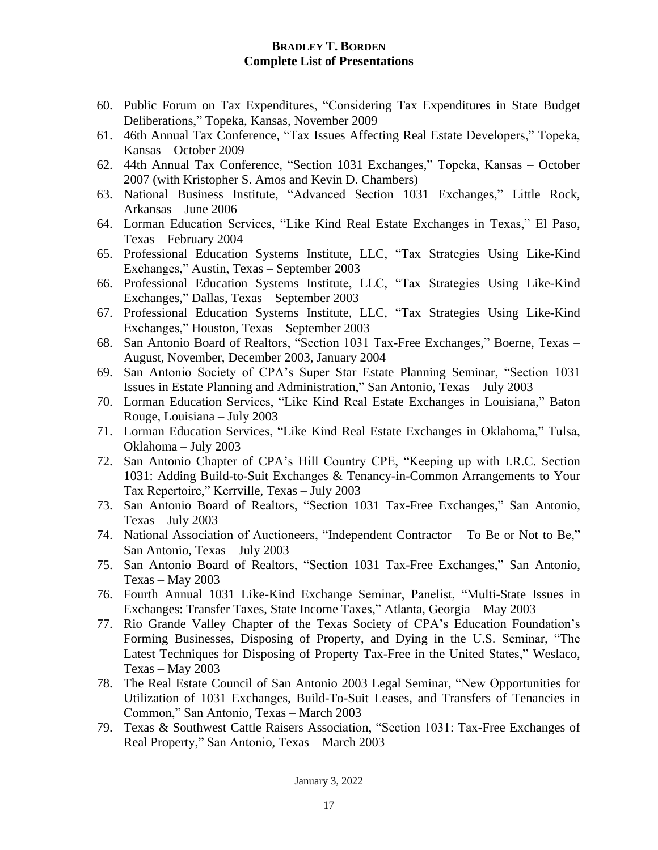- 60. Public Forum on Tax Expenditures, "Considering Tax Expenditures in State Budget Deliberations," Topeka, Kansas, November 2009
- 61. 46th Annual Tax Conference, "Tax Issues Affecting Real Estate Developers," Topeka, Kansas – October 2009
- 62. 44th Annual Tax Conference, "Section 1031 Exchanges," Topeka, Kansas October 2007 (with Kristopher S. Amos and Kevin D. Chambers)
- 63. National Business Institute, "Advanced Section 1031 Exchanges," Little Rock, Arkansas – June 2006
- 64. Lorman Education Services, "Like Kind Real Estate Exchanges in Texas," El Paso, Texas – February 2004
- 65. Professional Education Systems Institute, LLC, "Tax Strategies Using Like-Kind Exchanges," Austin, Texas – September 2003
- 66. Professional Education Systems Institute, LLC, "Tax Strategies Using Like-Kind Exchanges," Dallas, Texas – September 2003
- 67. Professional Education Systems Institute, LLC, "Tax Strategies Using Like-Kind Exchanges," Houston, Texas – September 2003
- 68. San Antonio Board of Realtors, "Section 1031 Tax-Free Exchanges," Boerne, Texas August, November, December 2003, January 2004
- 69. San Antonio Society of CPA's Super Star Estate Planning Seminar, "Section 1031 Issues in Estate Planning and Administration," San Antonio, Texas – July 2003
- 70. Lorman Education Services, "Like Kind Real Estate Exchanges in Louisiana," Baton Rouge, Louisiana – July 2003
- 71. Lorman Education Services, "Like Kind Real Estate Exchanges in Oklahoma," Tulsa, Oklahoma – July 2003
- 72. San Antonio Chapter of CPA's Hill Country CPE, "Keeping up with I.R.C. Section 1031: Adding Build-to-Suit Exchanges & Tenancy-in-Common Arrangements to Your Tax Repertoire," Kerrville, Texas – July 2003
- 73. San Antonio Board of Realtors, "Section 1031 Tax-Free Exchanges," San Antonio, Texas – July 2003
- 74. National Association of Auctioneers, "Independent Contractor To Be or Not to Be," San Antonio, Texas – July 2003
- 75. San Antonio Board of Realtors, "Section 1031 Tax-Free Exchanges," San Antonio, Texas – May 2003
- 76. Fourth Annual 1031 Like-Kind Exchange Seminar, Panelist, "Multi-State Issues in Exchanges: Transfer Taxes, State Income Taxes," Atlanta, Georgia – May 2003
- 77. Rio Grande Valley Chapter of the Texas Society of CPA's Education Foundation's Forming Businesses, Disposing of Property, and Dying in the U.S. Seminar, "The Latest Techniques for Disposing of Property Tax-Free in the United States," Weslaco, Texas – May 2003
- 78. The Real Estate Council of San Antonio 2003 Legal Seminar, "New Opportunities for Utilization of 1031 Exchanges, Build-To-Suit Leases, and Transfers of Tenancies in Common," San Antonio, Texas – March 2003
- 79. Texas & Southwest Cattle Raisers Association, "Section 1031: Tax-Free Exchanges of Real Property," San Antonio, Texas – March 2003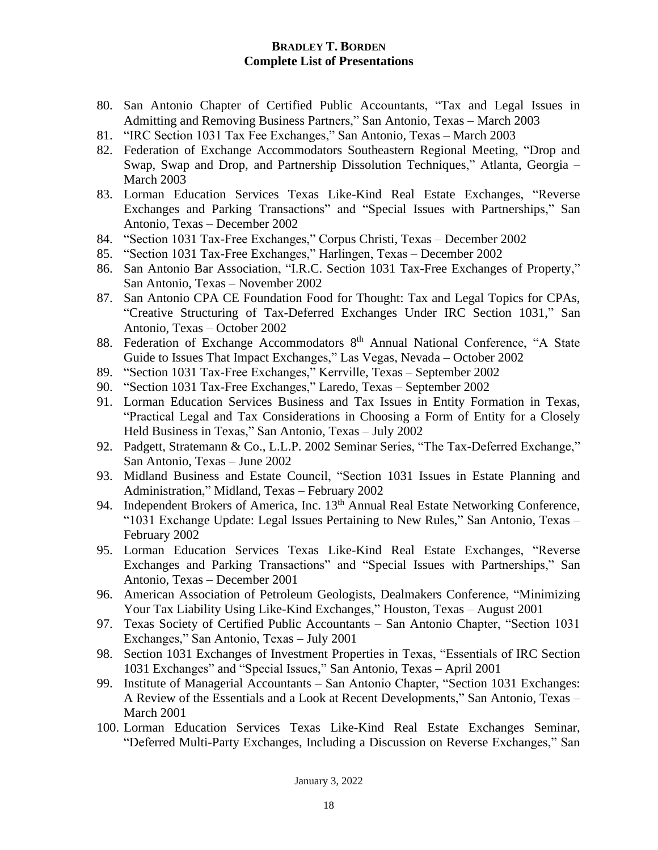- 80. San Antonio Chapter of Certified Public Accountants, "Tax and Legal Issues in Admitting and Removing Business Partners," San Antonio, Texas – March 2003
- 81. "IRC Section 1031 Tax Fee Exchanges," San Antonio, Texas March 2003
- 82. Federation of Exchange Accommodators Southeastern Regional Meeting, "Drop and Swap, Swap and Drop, and Partnership Dissolution Techniques," Atlanta, Georgia – March 2003
- 83. Lorman Education Services Texas Like-Kind Real Estate Exchanges, "Reverse Exchanges and Parking Transactions" and "Special Issues with Partnerships," San Antonio, Texas – December 2002
- 84. "Section 1031 Tax-Free Exchanges," Corpus Christi, Texas December 2002
- 85. "Section 1031 Tax-Free Exchanges," Harlingen, Texas December 2002
- 86. San Antonio Bar Association, "I.R.C. Section 1031 Tax-Free Exchanges of Property," San Antonio, Texas – November 2002
- 87. San Antonio CPA CE Foundation Food for Thought: Tax and Legal Topics for CPAs, "Creative Structuring of Tax-Deferred Exchanges Under IRC Section 1031," San Antonio, Texas – October 2002
- 88. Federation of Exchange Accommodators 8<sup>th</sup> Annual National Conference, "A State Guide to Issues That Impact Exchanges," Las Vegas, Nevada – October 2002
- 89. "Section 1031 Tax-Free Exchanges," Kerrville, Texas September 2002
- 90. "Section 1031 Tax-Free Exchanges," Laredo, Texas September 2002
- 91. Lorman Education Services Business and Tax Issues in Entity Formation in Texas, "Practical Legal and Tax Considerations in Choosing a Form of Entity for a Closely Held Business in Texas," San Antonio, Texas – July 2002
- 92. Padgett, Stratemann & Co., L.L.P. 2002 Seminar Series, "The Tax-Deferred Exchange," San Antonio, Texas – June 2002
- 93. Midland Business and Estate Council, "Section 1031 Issues in Estate Planning and Administration," Midland, Texas – February 2002
- 94. Independent Brokers of America, Inc. 13<sup>th</sup> Annual Real Estate Networking Conference, "1031 Exchange Update: Legal Issues Pertaining to New Rules," San Antonio, Texas – February 2002
- 95. Lorman Education Services Texas Like-Kind Real Estate Exchanges, "Reverse Exchanges and Parking Transactions" and "Special Issues with Partnerships," San Antonio, Texas – December 2001
- 96. American Association of Petroleum Geologists, Dealmakers Conference, "Minimizing Your Tax Liability Using Like-Kind Exchanges," Houston, Texas – August 2001
- 97. Texas Society of Certified Public Accountants San Antonio Chapter, "Section 1031 Exchanges," San Antonio, Texas – July 2001
- 98. Section 1031 Exchanges of Investment Properties in Texas, "Essentials of IRC Section 1031 Exchanges" and "Special Issues," San Antonio, Texas – April 2001
- 99. Institute of Managerial Accountants San Antonio Chapter, "Section 1031 Exchanges: A Review of the Essentials and a Look at Recent Developments," San Antonio, Texas – March 2001
- 100. Lorman Education Services Texas Like-Kind Real Estate Exchanges Seminar, "Deferred Multi-Party Exchanges, Including a Discussion on Reverse Exchanges," San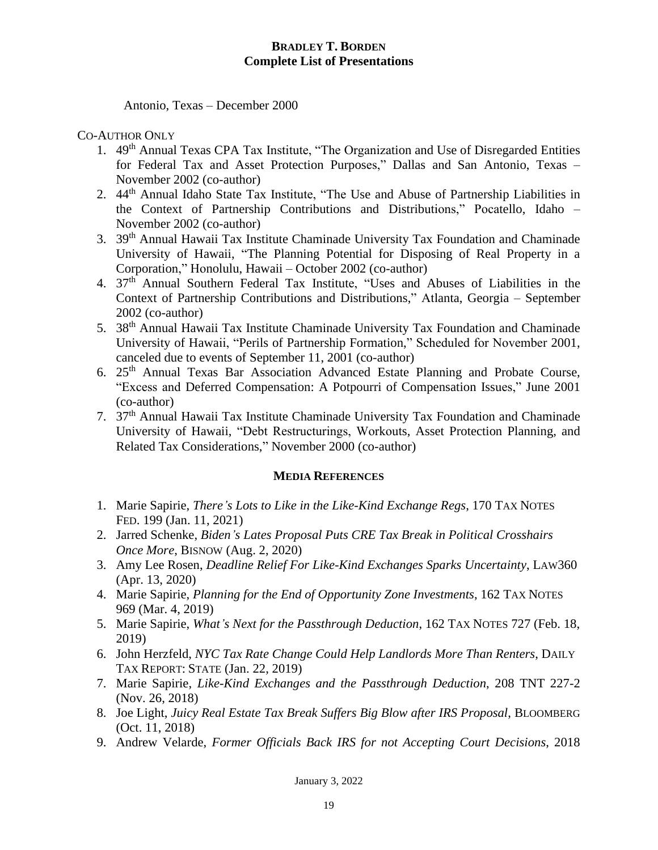Antonio, Texas – December 2000

#### CO-AUTHOR ONLY

- 1. 49<sup>th</sup> Annual Texas CPA Tax Institute, "The Organization and Use of Disregarded Entities for Federal Tax and Asset Protection Purposes," Dallas and San Antonio, Texas – November 2002 (co-author)
- 2. 44th Annual Idaho State Tax Institute, "The Use and Abuse of Partnership Liabilities in the Context of Partnership Contributions and Distributions," Pocatello, Idaho – November 2002 (co-author)
- 3. 39th Annual Hawaii Tax Institute Chaminade University Tax Foundation and Chaminade University of Hawaii, "The Planning Potential for Disposing of Real Property in a Corporation," Honolulu, Hawaii – October 2002 (co-author)
- 4. 37th Annual Southern Federal Tax Institute, "Uses and Abuses of Liabilities in the Context of Partnership Contributions and Distributions," Atlanta, Georgia – September 2002 (co-author)
- 5. 38th Annual Hawaii Tax Institute Chaminade University Tax Foundation and Chaminade University of Hawaii, "Perils of Partnership Formation," Scheduled for November 2001, canceled due to events of September 11, 2001 (co-author)
- 6. 25th Annual Texas Bar Association Advanced Estate Planning and Probate Course, "Excess and Deferred Compensation: A Potpourri of Compensation Issues," June 2001 (co-author)
- 7. 37th Annual Hawaii Tax Institute Chaminade University Tax Foundation and Chaminade University of Hawaii, "Debt Restructurings, Workouts, Asset Protection Planning, and Related Tax Considerations," November 2000 (co-author)

## **MEDIA REFERENCES**

- 1. Marie Sapirie, *There's Lots to Like in the Like-Kind Exchange Regs*, 170 TAX NOTES FED. 199 (Jan. 11, 2021)
- 2. Jarred Schenke, *Biden's Lates Proposal Puts CRE Tax Break in Political Crosshairs Once More*, BISNOW (Aug. 2, 2020)
- 3. Amy Lee Rosen, *Deadline Relief For Like-Kind Exchanges Sparks Uncertainty*, LAW360 (Apr. 13, 2020)
- 4. Marie Sapirie, *Planning for the End of Opportunity Zone Investments*, 162 TAX NOTES 969 (Mar. 4, 2019)
- 5. Marie Sapirie, *What's Next for the Passthrough Deduction*, 162 TAX NOTES 727 (Feb. 18, 2019)
- 6. John Herzfeld, *NYC Tax Rate Change Could Help Landlords More Than Renters*, DAILY TAX REPORT: STATE (Jan. 22, 2019)
- 7. Marie Sapirie, *Like-Kind Exchanges and the Passthrough Deduction*, 208 TNT 227-2 (Nov. 26, 2018)
- 8. Joe Light, *Juicy Real Estate Tax Break Suffers Big Blow after IRS Proposal*, BLOOMBERG (Oct. 11, 2018)
- 9. Andrew Velarde, *Former Officials Back IRS for not Accepting Court Decisions*, 2018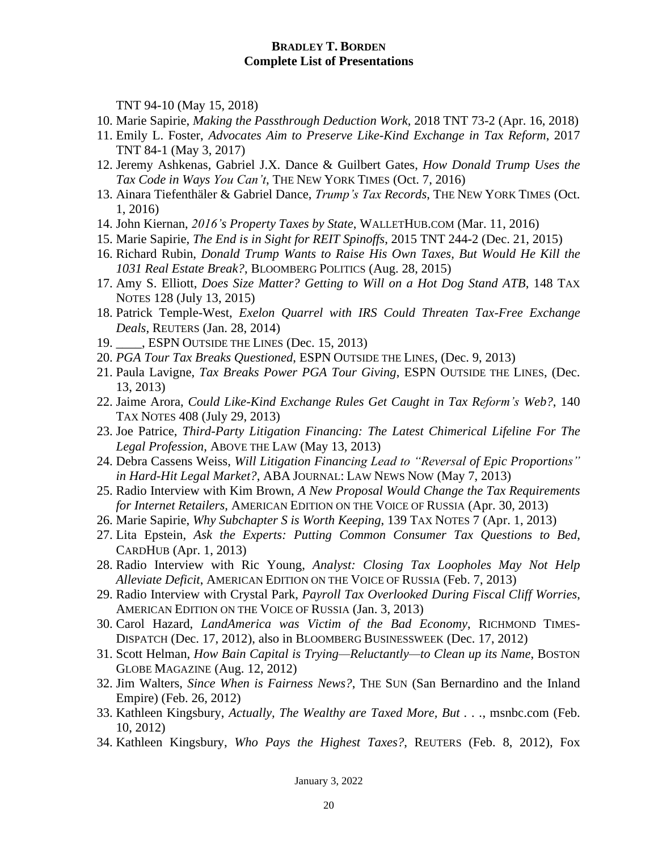TNT 94-10 (May 15, 2018)

- 10. Marie Sapirie, *Making the Passthrough Deduction Work*, 2018 TNT 73-2 (Apr. 16, 2018)
- 11. Emily L. Foster, *Advocates Aim to Preserve Like-Kind Exchange in Tax Reform*, 2017 TNT 84-1 (May 3, 2017)
- 12. Jeremy Ashkenas, Gabriel J.X. Dance & Guilbert Gates, *How Donald Trump Uses the Tax Code in Ways You Can't*, THE NEW YORK TIMES (Oct. 7, 2016)
- 13. Ainara Tiefenthäler & Gabriel Dance, *Trump's Tax Records*, THE NEW YORK TIMES (Oct. 1, 2016)
- 14. John Kiernan, *2016's Property Taxes by State*, WALLETHUB.COM (Mar. 11, 2016)
- 15. Marie Sapirie, *The End is in Sight for REIT Spinoffs*, 2015 TNT 244-2 (Dec. 21, 2015)
- 16. Richard Rubin, *Donald Trump Wants to Raise His Own Taxes, But Would He Kill the 1031 Real Estate Break?*, BLOOMBERG POLITICS (Aug. 28, 2015)
- 17. Amy S. Elliott, *Does Size Matter? Getting to Will on a Hot Dog Stand ATB*, 148 TAX NOTES 128 (July 13, 2015)
- 18. Patrick Temple-West, *Exelon Quarrel with IRS Could Threaten Tax-Free Exchange Deals*, REUTERS (Jan. 28, 2014)
- 19. *\_\_\_\_*, ESPN OUTSIDE THE LINES (Dec. 15, 2013)
- 20. *PGA Tour Tax Breaks Questioned*, ESPN OUTSIDE THE LINES, (Dec. 9, 2013)
- 21. Paula Lavigne, *Tax Breaks Power PGA Tour Giving*, ESPN OUTSIDE THE LINES, (Dec. 13, 2013)
- 22. Jaime Arora, *Could Like-Kind Exchange Rules Get Caught in Tax Reform's Web?*, 140 TAX NOTES 408 (July 29, 2013)
- 23. Joe Patrice, *Third-Party Litigation Financing: The Latest Chimerical Lifeline For The Legal Profession*, ABOVE THE LAW (May 13, 2013)
- 24. Debra Cassens Weiss, *Will Litigation Financing Lead to "Reversal of Epic Proportions" in Hard-Hit Legal Market?*, ABA JOURNAL: LAW NEWS NOW (May 7, 2013)
- 25. Radio Interview with Kim Brown, *A New Proposal Would Change the Tax Requirements for Internet Retailers*, AMERICAN EDITION ON THE VOICE OF RUSSIA (Apr. 30, 2013)
- 26. Marie Sapirie, *Why Subchapter S is Worth Keeping*, 139 TAX NOTES 7 (Apr. 1, 2013)
- 27. Lita Epstein, *Ask the Experts: Putting Common Consumer Tax Questions to Bed*, CARDHUB (Apr. 1, 2013)
- 28. Radio Interview with Ric Young, *Analyst: Closing Tax Loopholes May Not Help Alleviate Deficit*, AMERICAN EDITION ON THE VOICE OF RUSSIA (Feb. 7, 2013)
- 29. Radio Interview with Crystal Park, *Payroll Tax Overlooked During Fiscal Cliff Worries*, AMERICAN EDITION ON THE VOICE OF RUSSIA (Jan. 3, 2013)
- 30. Carol Hazard, *LandAmerica was Victim of the Bad Economy*, RICHMOND TIMES-DISPATCH (Dec. 17, 2012), also in BLOOMBERG BUSINESSWEEK (Dec. 17, 2012)
- 31. Scott Helman, *How Bain Capital is Trying—Reluctantly—to Clean up its Name*, BOSTON GLOBE MAGAZINE (Aug. 12, 2012)
- 32. Jim Walters, *Since When is Fairness News?*, THE SUN (San Bernardino and the Inland Empire) (Feb. 26, 2012)
- 33. Kathleen Kingsbury, *Actually, The Wealthy are Taxed More, But . . .*, msnbc.com (Feb. 10, 2012)
- 34. Kathleen Kingsbury, *Who Pays the Highest Taxes?*, REUTERS (Feb. 8, 2012), Fox